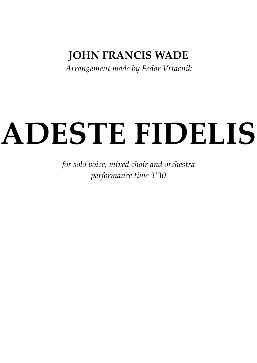## **ADESTE FIDELIS**

## **JOHN FRANCIS WADE**

*Arrangement made by Fedor Vrtacnik*

*for solo voice, mixed choir and orchestra performance time 3ʹ30*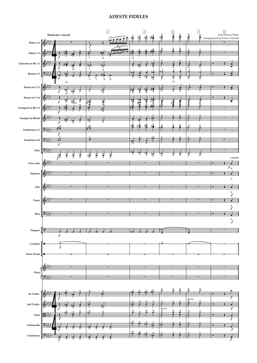

## **ADESTE FIDELES**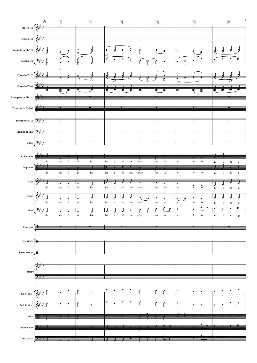

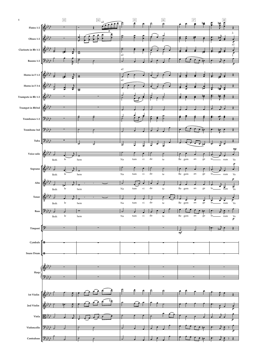